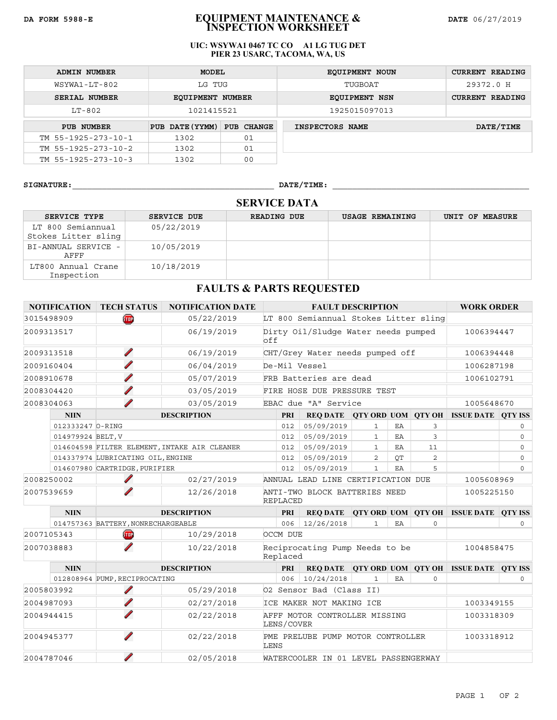### **DA FORM 5988-E EQUIPMENT MAINTENANCE & DATE** 06/27/2019 **INSPECTION WORKSHEET**

#### **UIC: WSYWA1 0467 TC CO A1 LG TUG DET PIER 23 USARC, TACOMA, WA, US**

| <b>ADMIN NUMBER</b>           | MODEL                   |            | <b>EQUIPMENT NOUN</b> | <b>CURRENT READING</b> |
|-------------------------------|-------------------------|------------|-----------------------|------------------------|
| WSYWA1-LT-802                 | LG TUG                  |            | TUGBOAT               | 29372.0 H              |
| SERIAL NUMBER                 | <b>EQUIPMENT NUMBER</b> |            | EQUIPMENT NSN         | <b>CURRENT READING</b> |
| $LT-802$                      | 1021415521              |            | 1925015097013         |                        |
| PUB NUMBER                    | PUB DATE (YYMM)         | PUB CHANGE | INSPECTORS NAME       | DATE/TIME              |
| TM $55 - 1925 - 273 - 10 - 1$ | 1302                    | 01         |                       |                        |
| TM 55-1925-273-10-2           | 1302                    | 01         |                       |                        |
| TM 55-1925-273-10-3           | 1302                    | 00         |                       |                        |

**SIGNATURE:**\_\_\_\_\_\_\_\_\_\_\_\_\_\_\_\_\_\_\_\_\_\_\_\_\_\_\_\_\_\_\_\_\_\_\_\_\_\_\_\_\_ **DATE/TIME:** \_\_\_\_\_\_\_\_\_\_\_\_\_\_\_\_\_\_\_\_\_\_\_\_\_\_\_\_\_\_\_\_\_\_\_\_\_\_\_\_

# **SERVICE DATA**

| SERVICE TYPE                             | <b>SERVICE DUE</b> | <b>READING DUE</b> | <b>USAGE REMAINING</b> | UNIT OF MEASURE |
|------------------------------------------|--------------------|--------------------|------------------------|-----------------|
| LT 800 Semiannual<br>Stokes Litter sling | 05/22/2019         |                    |                        |                 |
| BI-ANNUAL SERVICE -<br>AFFF              | 10/05/2019         |                    |                        |                 |
| LT800 Annual Crane<br>Inspection         | 10/18/2019         |                    |                        |                 |

## **FAULTS & PARTS REQUESTED**

| <b>NOTIFICATION   TECH STATUS</b> |                               |                                             | <b>NOTIFICATION DATE</b>                     |                                                                | <b>FAULT DESCRIPTION</b>              |              |            | <b>WORK ORDER</b> |                                                |              |
|-----------------------------------|-------------------------------|---------------------------------------------|----------------------------------------------|----------------------------------------------------------------|---------------------------------------|--------------|------------|-------------------|------------------------------------------------|--------------|
|                                   | 3015498909                    | œ                                           | 05/22/2019                                   |                                                                | LT 800 Semiannual Stokes Litter sling |              |            |                   |                                                |              |
|                                   | 2009313517                    |                                             | 06/19/2019                                   | off                                                            | Dirty Oil/Sludge Water needs pumped   |              |            | 1006394447        |                                                |              |
|                                   | 2009313518                    | Í                                           | 06/19/2019                                   |                                                                | CHT/Grey Water needs pumped off       |              |            |                   | 1006394448                                     |              |
|                                   | 2009160404                    | ∕                                           | 06/04/2019                                   | De-Mil Vessel                                                  |                                       |              |            |                   | 1006287198                                     |              |
|                                   | 2008910678                    |                                             | 05/07/2019                                   |                                                                | FRB Batteries are dead                |              |            |                   | 1006102791                                     |              |
|                                   | 2008304420                    | Í                                           | 03/05/2019                                   | FIRE HOSE DUE PRESSURE TEST                                    |                                       |              |            |                   |                                                |              |
|                                   | 2008304063                    |                                             | 03/05/2019                                   |                                                                | EBAC due "A" Service                  |              |            |                   | 1005648670                                     |              |
|                                   | <b>NIIN</b>                   |                                             | <b>DESCRIPTION</b>                           | <b>PRI</b>                                                     | <b>REO DATE</b>                       |              |            |                   | QTY ORD UOM QTY OH ISSUE DATE QTY ISS          |              |
|                                   | 012333247 0-RING              |                                             |                                              | 012                                                            | 05/09/2019                            | $\mathbf{1}$ | EA         | 3                 |                                                | $\circ$      |
|                                   | 014979924 BELT, V             |                                             |                                              | 012                                                            | 05/09/2019                            | $\mathbf{1}$ | EA         | 3                 |                                                | $\circ$      |
|                                   |                               |                                             | 014604598 FILTER ELEMENT, INTAKE AIR CLEANER | 012                                                            | 05/09/2019                            | $\mathbf{1}$ | EA         | 11                |                                                | $\circ$      |
|                                   |                               | 014337974 LUBRICATING OIL, ENGINE           |                                              | 012                                                            | 05/09/2019                            | 2            | OT         | 2                 |                                                | $\circ$      |
| 014607980 CARTRIDGE, PURIFIER     |                               | 012                                         | 05/09/2019                                   | $\mathbf{1}$                                                   | EA                                    | 5            |            | $\Omega$          |                                                |              |
|                                   | 2008250002                    | ◢                                           | 02/27/2019                                   | ANNUAL LEAD LINE CERTIFICATION DUE                             |                                       |              |            | 1005608969        |                                                |              |
| 2007539659                        |                               |                                             | 12/26/2018                                   | ANTI-TWO BLOCK BATTERIES NEED<br>1005225150<br><b>REPLACED</b> |                                       |              |            |                   |                                                |              |
|                                   | <b>NIIN</b>                   |                                             | <b>DESCRIPTION</b>                           | <b>PRI</b>                                                     |                                       |              |            |                   | REQ DATE QTY ORD UOM QTY OH ISSUE DATE QTY ISS |              |
|                                   |                               | 014757363 BATTERY, NONRECHARGEABLE          |                                              | 006                                                            | 12/26/2018                            | $\mathbf{1}$ | EA         | $\circ$           |                                                | 0            |
|                                   | 2007105343                    | <b>STOP</b>                                 | 10/29/2018                                   | OCCM DUE                                                       |                                       |              |            |                   |                                                |              |
| 2007038883                        |                               | ∕                                           | 10/22/2018                                   | Reciprocating Pump Needs to be<br>Replaced                     |                                       |              | 1004858475 |                   |                                                |              |
|                                   | <b>NIIN</b>                   |                                             | <b>DESCRIPTION</b>                           | <b>PRI</b>                                                     |                                       |              |            |                   | REQ DATE QTY ORD UOM QTY OH ISSUE DATE QTY ISS |              |
|                                   |                               | 012808964 PUMP, RECIPROCATING               |                                              | 006                                                            | 10/24/2018                            | $\mathbf{1}$ | EA         | $\circ$           |                                                | $\mathsf{O}$ |
|                                   | ∕<br>05/29/2018<br>2005803992 |                                             | 02 Sensor Bad (Class II)                     |                                                                |                                       |              |            |                   |                                                |              |
|                                   | ∕<br>02/27/2018<br>2004987093 |                                             | ICE MAKER NOT MAKING ICE                     |                                                                |                                       |              | 1003349155 |                   |                                                |              |
| 02/22/2018<br>2004944415          |                               | AFFF MOTOR CONTROLLER MISSING<br>LENS/COVER |                                              |                                                                |                                       | 1003318309   |            |                   |                                                |              |
|                                   | ∕<br>02/22/2018<br>2004945377 |                                             |                                              | LENS                                                           | PME PRELUBE PUMP MOTOR CONTROLLER     |              |            |                   | 1003318912                                     |              |
|                                   | 2004787046                    |                                             | 02/05/2018                                   | WATERCOOLER IN 01 LEVEL PASSENGERWAY                           |                                       |              |            |                   |                                                |              |